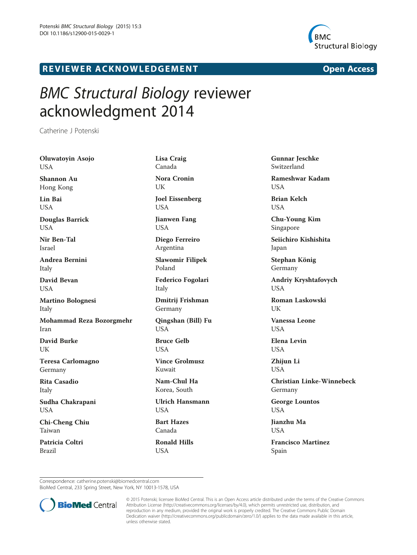

## **REVIEWER ACKNOWLEDGEMENT EXAMPLEMENT Open Access**

## BMC Structural Biology reviewer acknowledgment 2014

Catherine J Potenski

Oluwatoyin Asojo **USA** Shannon Au Hong Kong Lin Bai USA Douglas Barrick USA Nir Ben-Tal Israel Andrea Bernini Italy David Bevan USA Martino Bolognesi Italy Mohammad Reza Bozorgmehr Iran David Burke UK Teresa Carlomagno Germany Rita Casadio Italy Sudha Chakrapani USA Chi-Cheng Chiu Taiwan Patricia Coltri Brazil

Lisa Craig Canada Nora Cronin UK Joel Eissenberg USA Jianwen Fang USA Diego Ferreiro Argentina Slawomir Filipek Poland Federico Fogolari Italy Dmitrij Frishman Germany Qingshan (Bill) Fu USA Bruce Gelb USA Vince Grolmusz Kuwait Nam-Chul Ha

Korea, South

Ulrich Hansmann USA

Bart Hazes Canada

Ronald Hills **USA** 

Gunnar Jeschke Switzerland

Rameshwar Kadam **USA** 

Brian Kelch USA

Chu-Young Kim Singapore

Seiichiro Kishishita Japan

Stephan König Germany

Andriy Kryshtafovych USA

Roman Laskowski I IK

Vanessa Leone **I** IS A

Elena Levin USA

Zhiiun Li USA

Christian Linke-Winnebeck Germany

George Lountos USA

Jianzhu Ma **I** IS A

Francisco Martinez Spain

Correspondence: [catherine.potenski@biomedcentral.com](mailto:catherine.potenski@biomedcentral.com)

BioMed Central, 233 Spring Street, New York, NY 10013-1578, USA



© 2015 Potenski; licensee BioMed Central. This is an Open Access article distributed under the terms of the Creative Commons Attribution License (<http://creativecommons.org/licenses/by/4.0>), which permits unrestricted use, distribution, and reproduction in any medium, provided the original work is properly credited. The Creative Commons Public Domain Dedication waiver [\(http://creativecommons.org/publicdomain/zero/1.0/](http://creativecommons.org/publicdomain/zero/1.0/)) applies to the data made available in this article, unless otherwise stated.